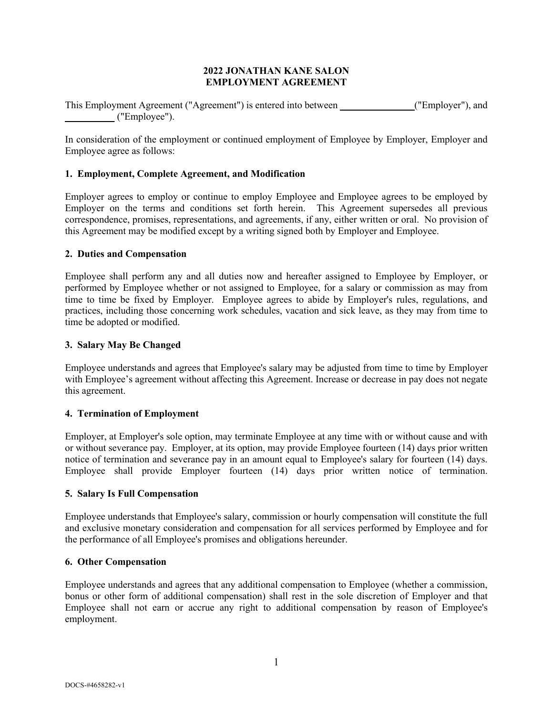## **2022 JONATHAN KANE SALON EMPLOYMENT AGREEMENT**

This Employment Agreement ("Agreement") is entered into between **\_\_\_\_\_\_\_\_\_\_\_\_\_\_\_**("Employer"), and **\_\_\_\_\_\_\_\_\_\_** ("Employee").

In consideration of the employment or continued employment of Employee by Employer, Employer and Employee agree as follows:

## **1. Employment, Complete Agreement, and Modification**

Employer agrees to employ or continue to employ Employee and Employee agrees to be employed by Employer on the terms and conditions set forth herein. This Agreement supersedes all previous correspondence, promises, representations, and agreements, if any, either written or oral. No provision of this Agreement may be modified except by a writing signed both by Employer and Employee.

#### **2. Duties and Compensation**

Employee shall perform any and all duties now and hereafter assigned to Employee by Employer, or performed by Employee whether or not assigned to Employee, for a salary or commission as may from time to time be fixed by Employer. Employee agrees to abide by Employer's rules, regulations, and practices, including those concerning work schedules, vacation and sick leave, as they may from time to time be adopted or modified.

#### **3. Salary May Be Changed**

Employee understands and agrees that Employee's salary may be adjusted from time to time by Employer with Employee's agreement without affecting this Agreement. Increase or decrease in pay does not negate this agreement.

#### **4. Termination of Employment**

Employer, at Employer's sole option, may terminate Employee at any time with or without cause and with or without severance pay. Employer, at its option, may provide Employee fourteen (14) days prior written notice of termination and severance pay in an amount equal to Employee's salary for fourteen (14) days. Employee shall provide Employer fourteen (14) days prior written notice of termination.

#### **5. Salary Is Full Compensation**

Employee understands that Employee's salary, commission or hourly compensation will constitute the full and exclusive monetary consideration and compensation for all services performed by Employee and for the performance of all Employee's promises and obligations hereunder.

#### **6. Other Compensation**

Employee understands and agrees that any additional compensation to Employee (whether a commission, bonus or other form of additional compensation) shall rest in the sole discretion of Employer and that Employee shall not earn or accrue any right to additional compensation by reason of Employee's employment.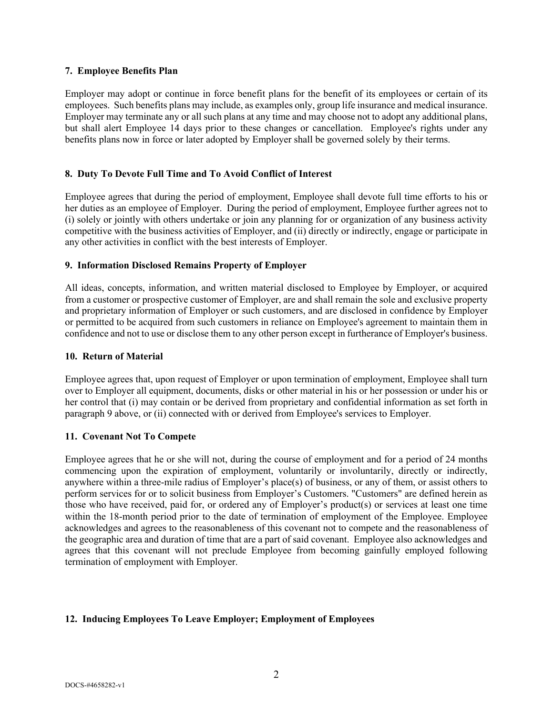#### **7. Employee Benefits Plan**

Employer may adopt or continue in force benefit plans for the benefit of its employees or certain of its employees. Such benefits plans may include, as examples only, group life insurance and medical insurance. Employer may terminate any or all such plans at any time and may choose not to adopt any additional plans, but shall alert Employee 14 days prior to these changes or cancellation. Employee's rights under any benefits plans now in force or later adopted by Employer shall be governed solely by their terms.

## **8. Duty To Devote Full Time and To Avoid Conflict of Interest**

Employee agrees that during the period of employment, Employee shall devote full time efforts to his or her duties as an employee of Employer. During the period of employment, Employee further agrees not to (i) solely or jointly with others undertake or join any planning for or organization of any business activity competitive with the business activities of Employer, and (ii) directly or indirectly, engage or participate in any other activities in conflict with the best interests of Employer.

## **9. Information Disclosed Remains Property of Employer**

All ideas, concepts, information, and written material disclosed to Employee by Employer, or acquired from a customer or prospective customer of Employer, are and shall remain the sole and exclusive property and proprietary information of Employer or such customers, and are disclosed in confidence by Employer or permitted to be acquired from such customers in reliance on Employee's agreement to maintain them in confidence and not to use or disclose them to any other person except in furtherance of Employer's business.

#### **10. Return of Material**

Employee agrees that, upon request of Employer or upon termination of employment, Employee shall turn over to Employer all equipment, documents, disks or other material in his or her possession or under his or her control that (i) may contain or be derived from proprietary and confidential information as set forth in paragraph 9 above, or (ii) connected with or derived from Employee's services to Employer.

## **11. Covenant Not To Compete**

Employee agrees that he or she will not, during the course of employment and for a period of 24 months commencing upon the expiration of employment, voluntarily or involuntarily, directly or indirectly, anywhere within a three-mile radius of Employer's place(s) of business, or any of them, or assist others to perform services for or to solicit business from Employer's Customers. "Customers" are defined herein as those who have received, paid for, or ordered any of Employer's product(s) or services at least one time within the 18-month period prior to the date of termination of employment of the Employee. Employee acknowledges and agrees to the reasonableness of this covenant not to compete and the reasonableness of the geographic area and duration of time that are a part of said covenant. Employee also acknowledges and agrees that this covenant will not preclude Employee from becoming gainfully employed following termination of employment with Employer.

## **12. Inducing Employees To Leave Employer; Employment of Employees**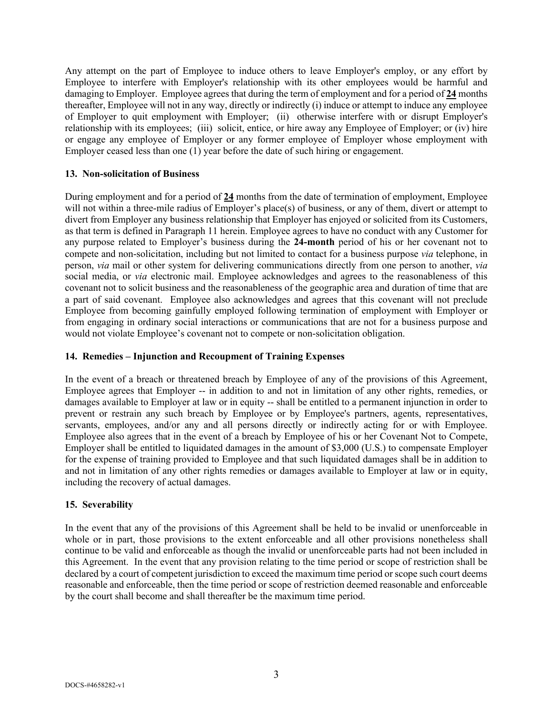Any attempt on the part of Employee to induce others to leave Employer's employ, or any effort by Employee to interfere with Employer's relationship with its other employees would be harmful and damaging to Employer. Employee agrees that during the term of employment and for a period of **24** months thereafter, Employee will not in any way, directly or indirectly (i) induce or attempt to induce any employee of Employer to quit employment with Employer; (ii) otherwise interfere with or disrupt Employer's relationship with its employees; (iii) solicit, entice, or hire away any Employee of Employer; or (iv) hire or engage any employee of Employer or any former employee of Employer whose employment with Employer ceased less than one (1) year before the date of such hiring or engagement.

# **13. Non-solicitation of Business**

During employment and for a period of **24** months from the date of termination of employment, Employee will not within a three-mile radius of Employer's place(s) of business, or any of them, divert or attempt to divert from Employer any business relationship that Employer has enjoyed or solicited from its Customers, as that term is defined in Paragraph 11 herein. Employee agrees to have no conduct with any Customer for any purpose related to Employer's business during the **24-month** period of his or her covenant not to compete and non-solicitation, including but not limited to contact for a business purpose *via* telephone, in person, *via* mail or other system for delivering communications directly from one person to another, *via* social media, or *via* electronic mail. Employee acknowledges and agrees to the reasonableness of this covenant not to solicit business and the reasonableness of the geographic area and duration of time that are a part of said covenant. Employee also acknowledges and agrees that this covenant will not preclude Employee from becoming gainfully employed following termination of employment with Employer or from engaging in ordinary social interactions or communications that are not for a business purpose and would not violate Employee's covenant not to compete or non-solicitation obligation.

# **14. Remedies – Injunction and Recoupment of Training Expenses**

In the event of a breach or threatened breach by Employee of any of the provisions of this Agreement, Employee agrees that Employer -- in addition to and not in limitation of any other rights, remedies, or damages available to Employer at law or in equity -- shall be entitled to a permanent injunction in order to prevent or restrain any such breach by Employee or by Employee's partners, agents, representatives, servants, employees, and/or any and all persons directly or indirectly acting for or with Employee. Employee also agrees that in the event of a breach by Employee of his or her Covenant Not to Compete, Employer shall be entitled to liquidated damages in the amount of \$3,000 (U.S.) to compensate Employer for the expense of training provided to Employee and that such liquidated damages shall be in addition to and not in limitation of any other rights remedies or damages available to Employer at law or in equity, including the recovery of actual damages.

# **15. Severability**

In the event that any of the provisions of this Agreement shall be held to be invalid or unenforceable in whole or in part, those provisions to the extent enforceable and all other provisions nonetheless shall continue to be valid and enforceable as though the invalid or unenforceable parts had not been included in this Agreement. In the event that any provision relating to the time period or scope of restriction shall be declared by a court of competent jurisdiction to exceed the maximum time period or scope such court deems reasonable and enforceable, then the time period or scope of restriction deemed reasonable and enforceable by the court shall become and shall thereafter be the maximum time period.